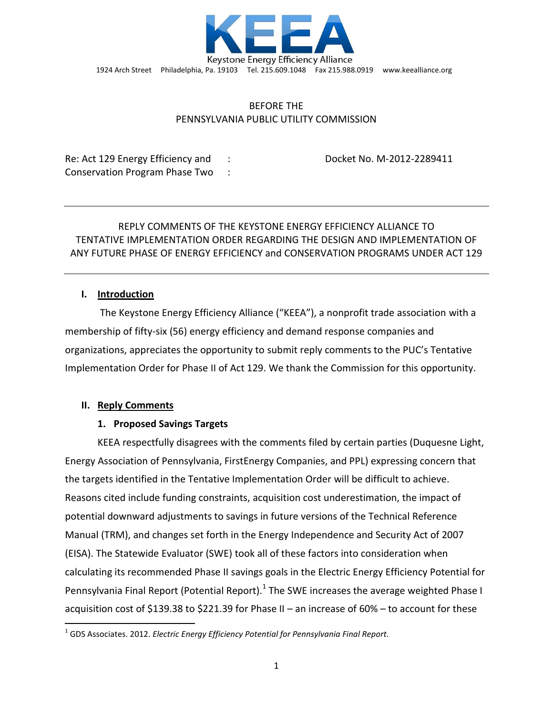

# BEFORE THE PENNSYLVANIA PUBLIC UTILITY COMMISSION

Re: Act 129 Energy Efficiency and : Docket No. M-2012-2289411 Conservation Program Phase Two :

# REPLY COMMENTS OF THE KEYSTONE ENERGY EFFICIENCY ALLIANCE TO TENTATIVE IMPLEMENTATION ORDER REGARDING THE DESIGN AND IMPLEMENTATION OF ANY FUTURE PHASE OF ENERGY EFFICIENCY and CONSERVATION PROGRAMS UNDER ACT 129

# **I. Introduction**

The Keystone Energy Efficiency Alliance ("KEEA"), a nonprofit trade association with a membership of fifty-six (56) energy efficiency and demand response companies and organizations, appreciates the opportunity to submit reply comments to the PUC's Tentative Implementation Order for Phase II of Act 129. We thank the Commission for this opportunity.

# **II. Reply Comments**

l

# **1. Proposed Savings Targets**

KEEA respectfully disagrees with the comments filed by certain parties (Duquesne Light, Energy Association of Pennsylvania, FirstEnergy Companies, and PPL) expressing concern that the targets identified in the Tentative Implementation Order will be difficult to achieve. Reasons cited include funding constraints, acquisition cost underestimation, the impact of potential downward adjustments to savings in future versions of the Technical Reference Manual (TRM), and changes set forth in the Energy Independence and Security Act of 2007 (EISA). The Statewide Evaluator (SWE) took all of these factors into consideration when calculating its recommended Phase II savings goals in the Electric Energy Efficiency Potential for Pennsylvania Final Report (Potential Report).<sup>1</sup> The SWE increases the average weighted Phase I acquisition cost of \$139.38 to \$221.39 for Phase II – an increase of 60% – to account for these

<sup>1</sup> GDS Associates. 2012. *Electric Energy Efficiency Potential for Pennsylvania Final Report.*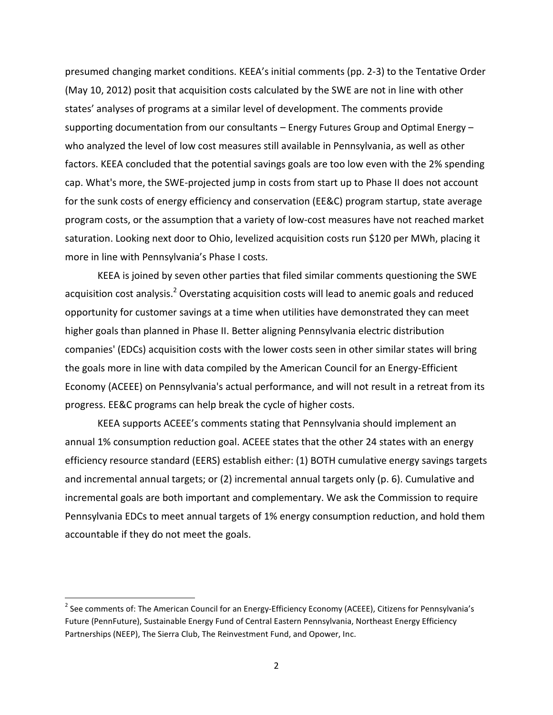presumed changing market conditions. KEEA's initial comments (pp. 2-3) to the Tentative Order (May 10, 2012) posit that acquisition costs calculated by the SWE are not in line with other states' analyses of programs at a similar level of development. The comments provide supporting documentation from our consultants – Energy Futures Group and Optimal Energy – who analyzed the level of low cost measures still available in Pennsylvania, as well as other factors. KEEA concluded that the potential savings goals are too low even with the 2% spending cap. What's more, the SWE-projected jump in costs from start up to Phase II does not account for the sunk costs of energy efficiency and conservation (EE&C) program startup, state average program costs, or the assumption that a variety of low-cost measures have not reached market saturation. Looking next door to Ohio, levelized acquisition costs run \$120 per MWh, placing it more in line with Pennsylvania's Phase I costs.

KEEA is joined by seven other parties that filed similar comments questioning the SWE acquisition cost analysis.<sup>2</sup> Overstating acquisition costs will lead to anemic goals and reduced opportunity for customer savings at a time when utilities have demonstrated they can meet higher goals than planned in Phase II. Better aligning Pennsylvania electric distribution companies' (EDCs) acquisition costs with the lower costs seen in other similar states will bring the goals more in line with data compiled by the American Council for an Energy-Efficient Economy (ACEEE) on Pennsylvania's actual performance, and will not result in a retreat from its progress. EE&C programs can help break the cycle of higher costs.

KEEA supports ACEEE's comments stating that Pennsylvania should implement an annual 1% consumption reduction goal. ACEEE states that the other 24 states with an energy efficiency resource standard (EERS) establish either: (1) BOTH cumulative energy savings targets and incremental annual targets; or (2) incremental annual targets only (p. 6). Cumulative and incremental goals are both important and complementary. We ask the Commission to require Pennsylvania EDCs to meet annual targets of 1% energy consumption reduction, and hold them accountable if they do not meet the goals.

l

<sup>&</sup>lt;sup>2</sup> See comments of: The American Council for an Energy-Efficiency Economy (ACEEE), Citizens for Pennsylvania's Future (PennFuture), Sustainable Energy Fund of Central Eastern Pennsylvania, Northeast Energy Efficiency Partnerships (NEEP), The Sierra Club, The Reinvestment Fund, and Opower, Inc.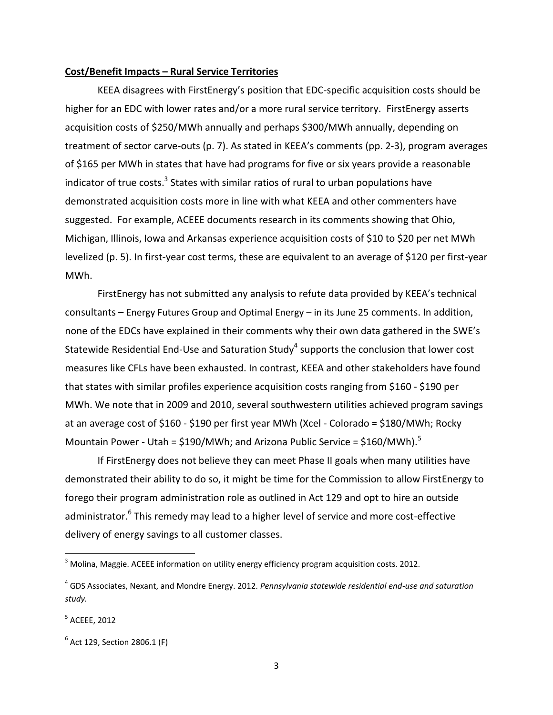#### **Cost/Benefit Impacts – Rural Service Territories**

KEEA disagrees with FirstEnergy's position that EDC-specific acquisition costs should be higher for an EDC with lower rates and/or a more rural service territory. FirstEnergy asserts acquisition costs of \$250/MWh annually and perhaps \$300/MWh annually, depending on treatment of sector carve-outs (p. 7). As stated in KEEA's comments (pp. 2-3), program averages of \$165 per MWh in states that have had programs for five or six years provide a reasonable indicator of true costs.<sup>3</sup> States with similar ratios of rural to urban populations have demonstrated acquisition costs more in line with what KEEA and other commenters have suggested. For example, ACEEE documents research in its comments showing that Ohio, Michigan, Illinois, Iowa and Arkansas experience acquisition costs of \$10 to \$20 per net MWh levelized (p. 5). In first-year cost terms, these are equivalent to an average of \$120 per first-year MWh.

FirstEnergy has not submitted any analysis to refute data provided by KEEA's technical consultants – Energy Futures Group and Optimal Energy – in its June 25 comments. In addition, none of the EDCs have explained in their comments why their own data gathered in the SWE's Statewide Residential End-Use and Saturation Study<sup>4</sup> supports the conclusion that lower cost measures like CFLs have been exhausted. In contrast, KEEA and other stakeholders have found that states with similar profiles experience acquisition costs ranging from \$160 - \$190 per MWh. We note that in 2009 and 2010, several southwestern utilities achieved program savings at an average cost of \$160 - \$190 per first year MWh (Xcel - Colorado = \$180/MWh; Rocky Mountain Power - Utah =  $$190/MWh$ ; and Arizona Public Service =  $$160/MWh$ .<sup>5</sup>

If FirstEnergy does not believe they can meet Phase II goals when many utilities have demonstrated their ability to do so, it might be time for the Commission to allow FirstEnergy to forego their program administration role as outlined in Act 129 and opt to hire an outside administrator.<sup>6</sup> This remedy may lead to a higher level of service and more cost-effective delivery of energy savings to all customer classes.

 $\overline{\phantom{a}}$ 

<sup>&</sup>lt;sup>3</sup> Molina, Maggie. ACEEE information on utility energy efficiency program acquisition costs. 2012.

<sup>4</sup> GDS Associates, Nexant, and Mondre Energy. 2012. *Pennsylvania statewide residential end-use and saturation study.*

<sup>5</sup> ACEEE, 2012

<sup>&</sup>lt;sup>6</sup> Act 129, Section 2806.1 (F)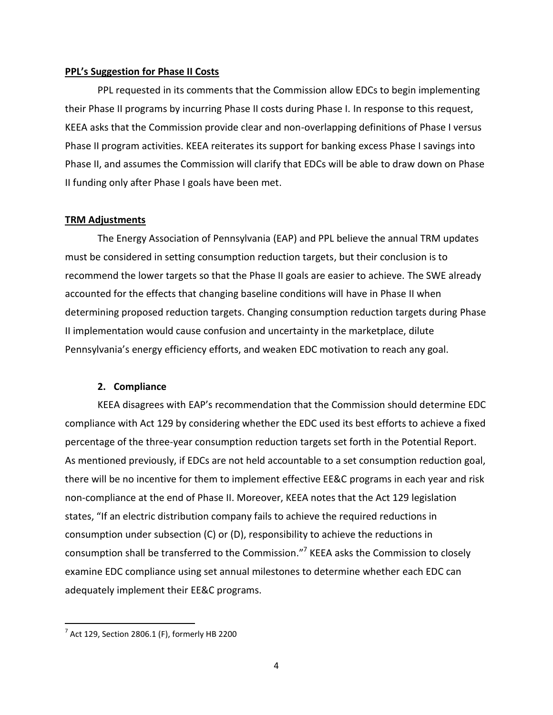#### **PPL's Suggestion for Phase II Costs**

PPL requested in its comments that the Commission allow EDCs to begin implementing their Phase II programs by incurring Phase II costs during Phase I. In response to this request, KEEA asks that the Commission provide clear and non-overlapping definitions of Phase I versus Phase II program activities. KEEA reiterates its support for banking excess Phase I savings into Phase II, and assumes the Commission will clarify that EDCs will be able to draw down on Phase II funding only after Phase I goals have been met.

## **TRM Adjustments**

The Energy Association of Pennsylvania (EAP) and PPL believe the annual TRM updates must be considered in setting consumption reduction targets, but their conclusion is to recommend the lower targets so that the Phase II goals are easier to achieve. The SWE already accounted for the effects that changing baseline conditions will have in Phase II when determining proposed reduction targets. Changing consumption reduction targets during Phase II implementation would cause confusion and uncertainty in the marketplace, dilute Pennsylvania's energy efficiency efforts, and weaken EDC motivation to reach any goal.

#### **2. Compliance**

KEEA disagrees with EAP's recommendation that the Commission should determine EDC compliance with Act 129 by considering whether the EDC used its best efforts to achieve a fixed percentage of the three-year consumption reduction targets set forth in the Potential Report. As mentioned previously, if EDCs are not held accountable to a set consumption reduction goal, there will be no incentive for them to implement effective EE&C programs in each year and risk non-compliance at the end of Phase II. Moreover, KEEA notes that the Act 129 legislation states, "If an electric distribution company fails to achieve the required reductions in consumption under subsection (C) or (D), responsibility to achieve the reductions in consumption shall be transferred to the Commission."<sup>7</sup> KEEA asks the Commission to closely examine EDC compliance using set annual milestones to determine whether each EDC can adequately implement their EE&C programs.

l

 $^7$  Act 129, Section 2806.1 (F), formerly HB 2200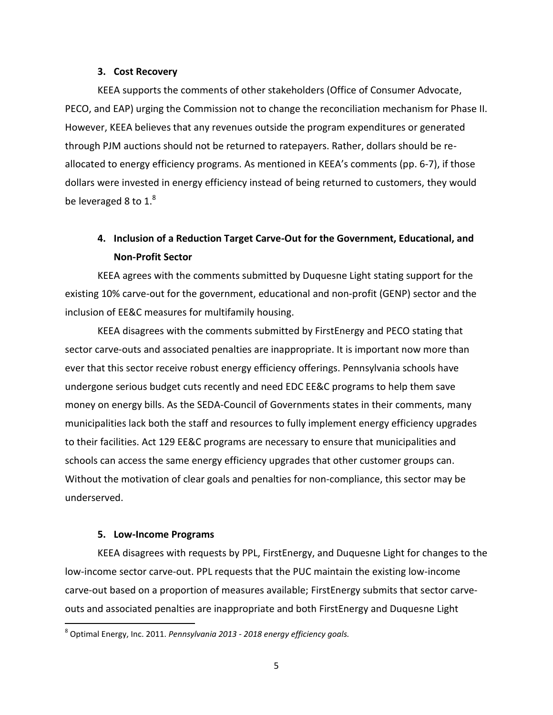#### **3. Cost Recovery**

KEEA supports the comments of other stakeholders (Office of Consumer Advocate, PECO, and EAP) urging the Commission not to change the reconciliation mechanism for Phase II. However, KEEA believes that any revenues outside the program expenditures or generated through PJM auctions should not be returned to ratepayers. Rather, dollars should be reallocated to energy efficiency programs. As mentioned in KEEA's comments (pp. 6-7), if those dollars were invested in energy efficiency instead of being returned to customers, they would be leveraged 8 to  $1<sup>8</sup>$ 

# **4. Inclusion of a Reduction Target Carve-Out for the Government, Educational, and Non-Profit Sector**

KEEA agrees with the comments submitted by Duquesne Light stating support for the existing 10% carve-out for the government, educational and non-profit (GENP) sector and the inclusion of EE&C measures for multifamily housing.

KEEA disagrees with the comments submitted by FirstEnergy and PECO stating that sector carve-outs and associated penalties are inappropriate. It is important now more than ever that this sector receive robust energy efficiency offerings. Pennsylvania schools have undergone serious budget cuts recently and need EDC EE&C programs to help them save money on energy bills. As the SEDA-Council of Governments states in their comments, many municipalities lack both the staff and resources to fully implement energy efficiency upgrades to their facilities. Act 129 EE&C programs are necessary to ensure that municipalities and schools can access the same energy efficiency upgrades that other customer groups can. Without the motivation of clear goals and penalties for non-compliance, this sector may be underserved.

## **5. Low-Income Programs**

l

KEEA disagrees with requests by PPL, FirstEnergy, and Duquesne Light for changes to the low-income sector carve-out. PPL requests that the PUC maintain the existing low-income carve-out based on a proportion of measures available; FirstEnergy submits that sector carveouts and associated penalties are inappropriate and both FirstEnergy and Duquesne Light

<sup>8</sup> Optimal Energy, Inc. 2011. *Pennsylvania 2013 - 2018 energy efficiency goals.*